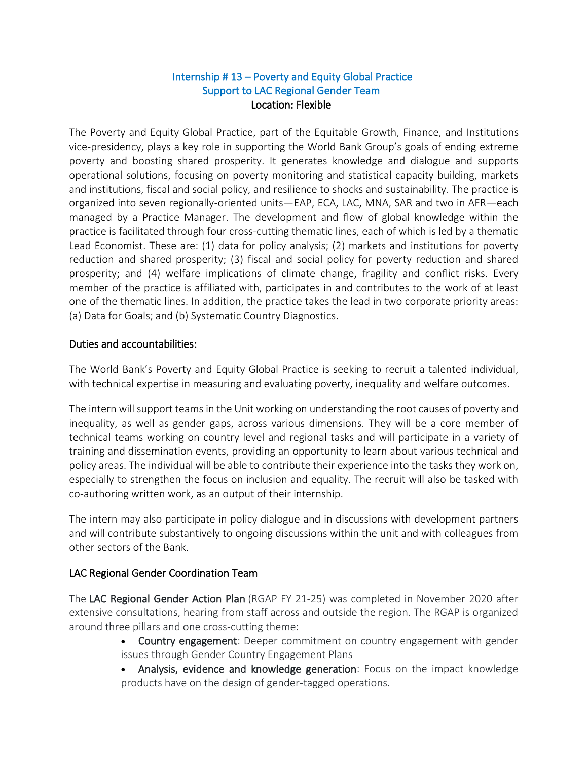## Internship # 13 – Poverty and Equity Global Practice Support to LAC Regional Gender Team Location: Flexible

The Poverty and Equity Global Practice, part of the Equitable Growth, Finance, and Institutions vice-presidency, plays a key role in supporting the World Bank Group's goals of ending extreme poverty and boosting shared prosperity. It generates knowledge and dialogue and supports operational solutions, focusing on poverty monitoring and statistical capacity building, markets and institutions, fiscal and social policy, and resilience to shocks and sustainability. The practice is organized into seven regionally-oriented units—EAP, ECA, LAC, MNA, SAR and two in AFR—each managed by a Practice Manager. The development and flow of global knowledge within the practice is facilitated through four cross-cutting thematic lines, each of which is led by a thematic Lead Economist. These are: (1) data for policy analysis; (2) markets and institutions for poverty reduction and shared prosperity; (3) fiscal and social policy for poverty reduction and shared prosperity; and (4) welfare implications of climate change, fragility and conflict risks. Every member of the practice is affiliated with, participates in and contributes to the work of at least one of the thematic lines. In addition, the practice takes the lead in two corporate priority areas: (a) Data for Goals; and (b) Systematic Country Diagnostics.

## Duties and accountabilities:

The World Bank's Poverty and Equity Global Practice is seeking to recruit a talented individual, with technical expertise in measuring and evaluating poverty, inequality and welfare outcomes.

The intern will support teams in the Unit working on understanding the root causes of poverty and inequality, as well as gender gaps, across various dimensions. They will be a core member of technical teams working on country level and regional tasks and will participate in a variety of training and dissemination events, providing an opportunity to learn about various technical and policy areas. The individual will be able to contribute their experience into the tasks they work on, especially to strengthen the focus on inclusion and equality. The recruit will also be tasked with co-authoring written work, as an output of their internship.

The intern may also participate in policy dialogue and in discussions with development partners and will contribute substantively to ongoing discussions within the unit and with colleagues from other sectors of the Bank.

## LAC Regional Gender Coordination Team

The LAC Regional Gender Action Plan (RGAP FY 21-25) was completed in November 2020 after extensive consultations, hearing from staff across and outside the region. The RGAP is organized around three pillars and one cross-cutting theme:

- Country engagement: Deeper commitment on country engagement with gender issues through Gender Country Engagement Plans
- Analysis, evidence and knowledge generation: Focus on the impact knowledge products have on the design of gender-tagged operations.